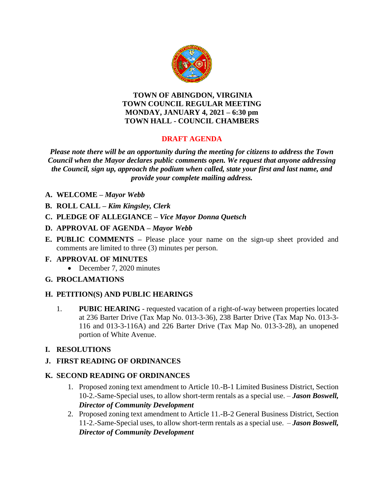

#### **TOWN OF ABINGDON, VIRGINIA TOWN COUNCIL REGULAR MEETING MONDAY, JANUARY 4, 2021 – 6:30 pm TOWN HALL - COUNCIL CHAMBERS**

# **DRAFT AGENDA**

*Please note there will be an opportunity during the meeting for citizens to address the Town Council when the Mayor declares public comments open. We request that anyone addressing the Council, sign up, approach the podium when called, state your first and last name, and provide your complete mailing address.*

- **A. WELCOME –** *Mayor Webb*
- **B. ROLL CALL –** *Kim Kingsley, Clerk*
- **C. PLEDGE OF ALLEGIANCE –** *Vice Mayor Donna Quetsch*
- **D. APPROVAL OF AGENDA –** *Mayor Webb*
- **E. PUBLIC COMMENTS –** Please place your name on the sign-up sheet provided and comments are limited to three (3) minutes per person.

### **F. APPROVAL OF MINUTES**

• December 7, 2020 minutes

# **G. PROCLAMATIONS**

# **H. PETITION(S) AND PUBLIC HEARINGS**

- 1. **PUBIC HEARING** requested vacation of a right-of-way between properties located at 236 Barter Drive (Tax Map No. 013-3-36), 238 Barter Drive (Tax Map No. 013-3- 116 and 013-3-116A) and 226 Barter Drive (Tax Map No. 013-3-28), an unopened portion of White Avenue.
- **I. RESOLUTIONS**

# **J. FIRST READING OF ORDINANCES**

### **K. SECOND READING OF ORDINANCES**

- 1. Proposed zoning text amendment to Article 10.-B-1 Limited Business District, Section 10-2.-Same-Special uses, to allow short-term rentals as a special use. – *Jason Boswell, Director of Community Development*
- 2. Proposed zoning text amendment to Article 11.-B-2 General Business District, Section 11-2.-Same-Special uses, to allow short-term rentals as a special use. – *Jason Boswell, Director of Community Development*